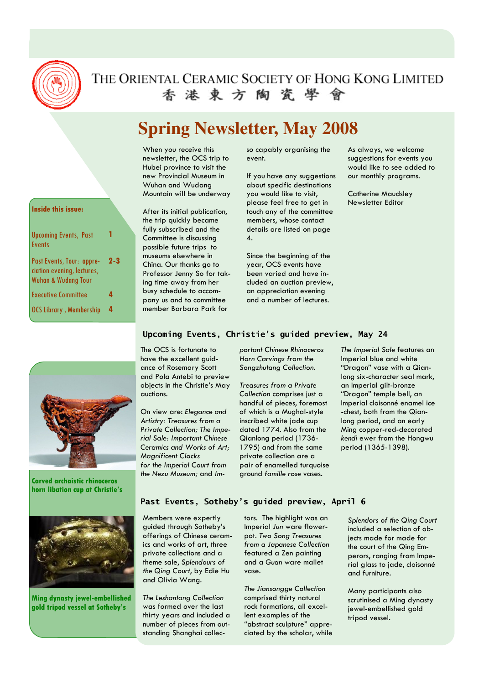

# THE ORIENTAL CERAMIC SOCIETY OF HONG KONG LIMITED 香港東方陶瓷學會

# **Spring Newsletter, May 2008**

When you receive this newsletter, the OCS trip to Hubei province to visit the new Provincial Museum in Wuhan and Wudang Mountain will be underway

After its initial publication, the trip quickly became fully subscribed and the Committee is discussing possible future trips to museums elsewhere in China. Our thanks go to Professor Jenny So for taking time away from her busy schedule to accompany us and to committee member Barbara Park for

so capably organising the event.

If you have any suggestions about specific destinations you would like to visit, please feel free to get in touch any of the committee members, whose contact details are listed on page 4.

Since the beginning of the year, OCS events have been varied and have included an auction preview, an appreciation evening and a number of lectures.

As always, we welcome suggestions for events you would like to see added to our monthly programs.

Catherine Maudsley Newsletter Editor

#### Inside this issue:

| <b>Upcoming Events, Past</b><br><b>Events</b>                                             |         |
|-------------------------------------------------------------------------------------------|---------|
| Past Events, Tour: appre-<br>ciation evening, lectures,<br><b>Wuhan &amp; Wudang Tour</b> | $2 - 3$ |
| <b>Executive Committee</b>                                                                | 4       |
| <b>OCS Library, Membership</b>                                                            | 4       |



Carved archaistic rhinoceros horn libation cup at Christie's



Ming dynasty jewel-embellished gold tripod vessel at Sotheby's

#### Upcoming Events, Christie's guided preview, May 24

The OCS is fortunate to have the excellent guidance of Rosemary Scott and Pola Antebi to preview objects in the Christie's May auctions.

On view are: Elegance and Artistry: Treasures from a Private Collection; The Imperial Sale: Important Chinese Ceramics and Works of Art; Magnificent Clocks for the Imperial Court from the Nezu Museum; and Im-

portant Chinese Rhinoceros Horn Carvings from the Songzhutang Collection.

Treasures from a Private Collection comprises just a handful of pieces, foremost of which is a Mughal-style inscribed white jade cup dated 1774. Also from the Qianlong period (1736- 1795) and from the same private collection are a pair of enamelled turquoise ground famille rose vases.

The Imperial Sale features an Imperial blue and white "Dragon" vase with a Qianlong six-character seal mark, an Imperial gilt-bronze "Dragon" temple bell, an Imperial cloisonné enamel ice -chest, both from the Qianlong period, and an early Ming copper-red-decorated kendi ewer from the Hongwu period (1365-1398).

#### Past Events, Sotheby's guided preview, April 6

Members were expertly guided through Sotheby's offerings of Chinese ceramics and works of art, three private collections and a theme sale, Splendours of the Qing Court, by Edie Hu and Olivia Wang.

The Leshantang Collection was formed over the last thirty years and included a number of pieces from outstanding Shanghai collec-

tors. The highlight was an Imperial Jun ware flowerpot. Two Song Treasures from a Japanese Collection featured a Zen painting and a Guan ware mallet vase.

The Jiansongge Collection comprised thirty natural rock formations, all excellent examples of the "abstract sculpture" appreciated by the scholar, while Splendors of the Qing Court included a selection of objects made for made for the court of the Qing Emperors, ranging from Imperial glass to jade, cloisonné and furniture.

Many participants also scrutinised a Ming dynasty jewel-embellished gold tripod vessel.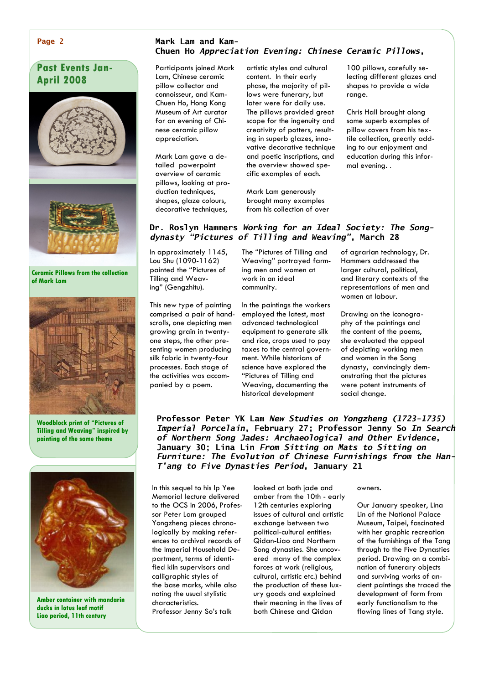#### Page 2

# Past Events Jan-April 2008



Ceramic Pillows from the collection of Mark Lam



Woodblock print of "Pictures of Tilling and Weaving" inspired by painting of the same theme



Amber container with mandarin ducks in lotus leaf motif Liao period, 11th century

#### Mark Lam and Kam-Chuen Ho Appreciation Evening: Chinese Ceramic Pillows,

Participants joined Mark Lam, Chinese ceramic pillow collector and connoisseur, and Kam-Chuen Ho, Hong Kong Museum of Art curator for an evening of Chinese ceramic pillow appreciation.

Mark Lam gave a detailed powerpoint overview of ceramic pillows, looking at production techniques, shapes, glaze colours, decorative techniques,

artistic styles and cultural content. In their early phase, the majority of pillows were funerary, but later were for daily use. The pillows provided great scope for the ingenuity and creativity of potters, resulting in superb glazes, innovative decorative technique and poetic inscriptions, and the overview showed specific examples of each.

Mark Lam generously brought many examples from his collection of over 100 pillows, carefully selecting different glazes and shapes to provide a wide range.

Chris Hall brought along some superb examples of pillow covers from his textile collection, greatly adding to our enjoyment and education during this informal evening. .

#### Dr. Roslyn Hammers Working for an Ideal Society: The Songdynasty "Pictures of Tilling and Weaving", March 28

In approximately 1145, Lou Shu (1090-1162) painted the "Pictures of Tilling and Weaving" (Gengzhitu).

This new type of painting comprised a pair of handscrolls, one depicting men growing grain in twentyone steps, the other presenting women producing silk fabric in twenty-four processes. Each stage of the activities was accompanied by a poem.

The "Pictures of Tilling and Weaving" portrayed farming men and women at work in an ideal community.

In the paintings the workers employed the latest, most advanced technological equipment to generate silk and rice, crops used to pay taxes to the central government. While historians of science have explored the "Pictures of Tilling and Weaving, documenting the historical development

of agrarian technology, Dr. Hammers addressed the larger cultural, political, and literary contexts of the representations of men and women at labour.

Drawing on the iconography of the paintings and the content of the poems, she evaluated the appeal of depicting working men and women in the Song dynasty, convincingly demonstrating that the pictures were potent instruments of social change.

Professor Peter YK Lam New Studies on Yongzheng (1723-1735) Imperial Porcelain, February 27; Professor Jenny So In Search of Northern Song Jades: Archaeological and Other Evidence, January 30; Lina Lin From Sitting on Mats to Sitting on Furniture: The Evolution of Chinese Furnishings from the Han-T'ang to Five Dynasties Period, January 21

In this sequel to his Ip Yee Memorial lecture delivered to the OCS in 2006, Professor Peter Lam grouped Yongzheng pieces chronologically by making references to archival records of the Imperial Household Department, terms of identified kiln supervisors and calligraphic styles of the base marks, while also noting the usual stylistic characteristics. Professor Jenny So's talk

looked at both jade and amber from the 10th - early 12th centuries exploring issues of cultural and artistic exchange between two political-cultural entities: Qidan-Liao and Northern Song dynasties. She uncovered many of the complex forces at work (religious, cultural, artistic etc.) behind the production of these luxury goods and explained their meaning in the lives of both Chinese and Qidan

#### owners.

Our January speaker, Lina Lin of the National Palace Museum, Taipei, fascinated with her graphic recreation of the furnishings of the Tang through to the Five Dynasties period. Drawing on a combination of funerary objects and surviving works of ancient paintings she traced the development of form from early functionalism to the flowing lines of Tang style.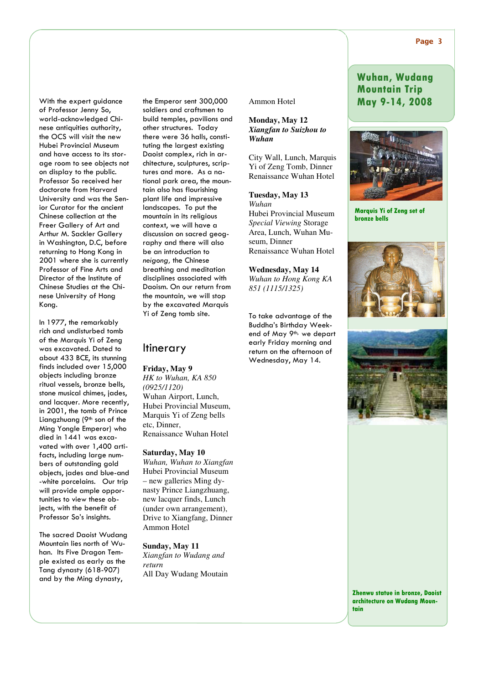With the expert guidance of Professor Jenny So, world-acknowledged Chinese antiquities authority, the OCS will visit the new Hubei Provincial Museum and have access to its storage room to see objects not on display to the public. Professor So received her doctorate from Harvard University and was the Senior Curator for the ancient Chinese collection at the Freer Gallery of Art and Arthur M. Sackler Gallery in Washington, D.C, before returning to Hong Kong in 2001 where she is currently Professor of Fine Arts and Director of the Institute of Chinese Studies at the Chinese University of Hong Kong.

In 1977, the remarkably rich and undisturbed tomb of the Marquis Yi of Zeng was excavated. Dated to about 433 BCE, its stunning finds included over 15,000 objects including bronze ritual vessels, bronze bells, stone musical chimes, jades, and lacquer. More recently, in 2001, the tomb of Prince Liangzhuang (9<sup>th</sup> son of the Ming Yongle Emperor) who died in 1441 was excavated with over 1,400 artifacts, including large numbers of outstanding gold objects, jades and blue-and -white porcelains. Our trip will provide ample opportunities to view these objects, with the benefit of Professor So's insights.

The sacred Daoist Wudang Mountain lies north of Wuhan. Its Five Dragon Temple existed as early as the Tang dynasty (618-907) and by the Ming dynasty,

the Emperor sent 300,000 soldiers and craftsmen to build temples, pavilions and other structures. Today there were 36 halls, constituting the largest existing Daoist complex, rich in architecture, sculptures, scriptures and more. As a national park area, the mountain also has flourishing plant life and impressive landscapes. To put the mountain in its religious context, we will have a discussion on sacred geography and there will also be an introduction to neigong, the Chinese breathing and meditation disciplines associated with Daoism. On our return from the mountain, we will stop by the excavated Marquis Yi of Zeng tomb site.

#### **Itinerary**

**Friday, May 9** 

*HK to Wuhan, KA 850 (0925/1120)*  Wuhan Airport, Lunch, Hubei Provincial Museum, Marquis Yi of Zeng bells etc, Dinner, Renaissance Wuhan Hotel

**Saturday, May 10**  *Wuhan, Wuhan to Xiangfan*  Hubei Provincial Museum – new galleries Ming dynasty Prince Liangzhuang, new lacquer finds, Lunch (under own arrangement), Drive to Xiangfang, Dinner Ammon Hotel

**Sunday, May 11** 

*Xiangfan to Wudang and return*  All Day Wudang Moutain Ammon Hotel

**Monday, May 12**  *Xiangfan to Suizhou to Wuhan* 

City Wall, Lunch, Marquis Yi of Zeng Tomb, Dinner Renaissance Wuhan Hotel

**Tuesday, May 13**  *Wuhan*  Hubei Provincial Museum *Special Viewing* Storage Area, Lunch, Wuhan Museum, Dinner Renaissance Wuhan Hotel

**Wednesday, May 14**  *Wuhan to Hong Kong KA 851 (1115/1325)* 

To take advantage of the Buddha's Birthday Weekend of May 9<sup>th,</sup> we depart early Friday morning and return on the afternoon of Wednesday, May 14.

## Wuhan, Wudang Mountain Trip May 9-14, 2008



Marquis Yi of Zeng set of bronze bells





Zhenwu statue in bronze, Daoist architecture on Wudang Mountain